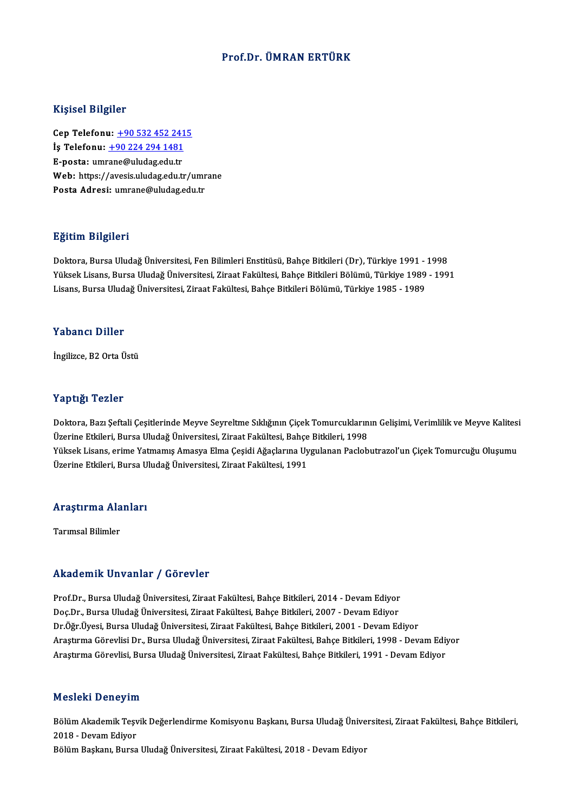### Prof.Dr. ÜMRAN ERTÜRK

#### Kişisel Bilgiler

Cep Telefonu: +90 532 452 2415 İş Telefonu: +90 224 294 1481 Cep Telefonu: <u>+90 532 452 241</u><br>İş Telefonu: <u>+90 224 294 1481</u><br>E-posta: um[rane@uludag.edu.tr](tel:+90 224 294 1481)<br>Web: https://avesis.uludag.edu.tr İş Telefonu: <u>+90 224 294 1481</u><br>E-posta: umrane@uludag.edu.tr<br>Web: https://avesis.uludag.edu.tr/umrane<br>Posta Adresi: umrane@uludag.edu.tr E-posta: umrane@uludag.edu.tr<br>Web: https://avesis.uludag.edu.tr/umr<br>Posta Adresi: umrane@uludag.edu.tr

#### Eğitim Bilgileri

<mark>Eğitim Bilgileri</mark><br>Doktora, Bursa Uludağ Üniversitesi, Fen Bilimleri Enstitüsü, Bahçe Bitkileri (Dr), Türkiye 1991 - 1998<br>Yüksek Lisans, Bursa Uludağ Üniversitesi, Ziraat Fakültesi, Bahçe Bitkileri Bölümü, Türkiye 1999, 19 Yüksek Lisans, Bursa Uludağ Üniversitesi, Ziraat Fakültesi, Bahçe Bitkileri Bölümü, Türkiye 1989 - 1991<br>Lisans, Bursa Uludağ Üniversitesi, Ziraat Fakültesi, Bahçe Bitkileri Bölümü, Türkiye 1985 - 1989 Doktora, Bursa Uludağ Üniversitesi, Fen Bilimleri Enstitüsü, Bahçe Bitkileri (Dr), Türkiye 1991 -<br>Yüksek Lisans, Bursa Uludağ Üniversitesi, Ziraat Fakültesi, Bahçe Bitkileri Bölümü, Türkiye 1989<br>Lisans, Bursa Uludağ Üniver

### Yabancı Diller

İngilizce,B2OrtaÜstü

#### Yaptığı Tezler

Yaptığı Tezler<br>Doktora, Bazı Şeftali Çeşitlerinde Meyve Seyreltme Sıklığının Çiçek Tomurcuklarının Gelişimi, Verimlilik ve Meyve Kalitesi<br>Üzerine Etkileri, Burca Uludağ Üniversitesi, Zirast Fakültesi, Babca Bitkileri, 1998 1 üp eigi<br>Doktora, Bazı Şeftali Çeşitlerinde Meyve Seyreltme Sıklığının Çiçek Tomurcukların<br>Üzerine Etkileri, Bursa Uludağ Üniversitesi, Ziraat Fakültesi, Bahçe Bitkileri, 1998<br>Yüksek Lisans, erime Yatmamış Amasya Elma Çes Doktora, Bazı Şeftali Çeşitlerinde Meyve Seyreltme Sıklığının Çiçek Tomurcuklarının Gelişimi, Verimlilik ve Meyve Kalitesi<br>Üzerine Etkileri, Bursa Uludağ Üniversitesi, Ziraat Fakültesi, Bahçe Bitkileri, 1998<br>Yüksek Lisans, Üzerine Etkileri, Bursa Uludağ Üniversitesi, Ziraat Fakültesi, Bahçe Bitkileri, 1998<br>Yüksek Lisans, erime Yatmamış Amasya Elma Çeşidi Ağaçlarına Uygulanan Paclobutrazol'un Çiçek Tomurcuğu Oluşumu<br>Üzerine Etkileri, Bursa Ul

# ozerine Etklieri, Bursa o.<br>Araştırma Alanları <mark>Araştırma Ala</mark><br>Tarımsal Bilimler

# Akademik Unvanlar / Görevler

Akademik Unvanlar / Görevler<br>Prof.Dr., Bursa Uludağ Üniversitesi, Ziraat Fakültesi, Bahçe Bitkileri, 2014 - Devam Ediyor<br>Des Dr., Bursa Uludağ Üniversitesi, Ziraat Fakültesi, Bahçe Bitkileri, 2007 - Devam Ediyor rritat omrit "on varirat" y "a or ovior"<br>Prof.Dr., Bursa Uludağ Üniversitesi, Ziraat Fakültesi, Bahçe Bitkileri, 2014 - Devam Ediyor<br>Dr.Öğr Üyesi, Bursa Uludağ Üniversitesi, Ziraat Fakültesi, Bahçe Bitkileri, 2007 - Devam Doç.Dr., Bursa Uludağ Üniversitesi, Ziraat Fakültesi, Bahçe Bitkileri, 2007 - Devam Ediyor<br>Dr.Öğr.Üyesi, Bursa Uludağ Üniversitesi, Ziraat Fakültesi, Bahçe Bitkileri, 2001 - Devam Ediyor Doç.Dr., Bursa Uludağ Üniversitesi, Ziraat Fakültesi, Bahçe Bitkileri, 2007 - Devam Ediyor<br>Dr.Öğr.Üyesi, Bursa Uludağ Üniversitesi, Ziraat Fakültesi, Bahçe Bitkileri, 2001 - Devam Ediyor<br>Araştırma Görevlisi Dr., Bursa Ulud Dr.Öğr.Üyesi, Bursa Uludağ Üniversitesi, Ziraat Fakültesi, Bahçe Bitkileri, 2001 - Devam Ediyor<br>Araştırma Görevlisi Dr., Bursa Uludağ Üniversitesi, Ziraat Fakültesi, Bahçe Bitkileri, 1998 - Devam Ediy<br>Araştırma Görevlisi, Araştırma Görevlisi, Bursa Uludağ Üniversitesi, Ziraat Fakültesi, Bahçe Bitkileri, 1991 - Devam Ediyor<br>Mesleki Deneyim

**Mesleki Deneyim**<br>Bölüm Akademik Teşvik Değerlendirme Komisyonu Başkanı, Bursa Uludağ Üniversitesi, Ziraat Fakültesi, Bahçe Bitkileri,<br>2018 - Devam Ediyar 2018 - Deney III<br>Bölüm Akademik Teşv<br>2018 - Devam Ediyor<br>Bölüm Boslanı, Bursa Bölüm Akademik Teşvik Değerlendirme Komisyonu Başkanı, Bursa Uludağ Ünive<br>2018 - Devam Ediyor<br>Bölüm Başkanı, Bursa Uludağ Üniversitesi, Ziraat Fakültesi, 2018 - Devam Ediyor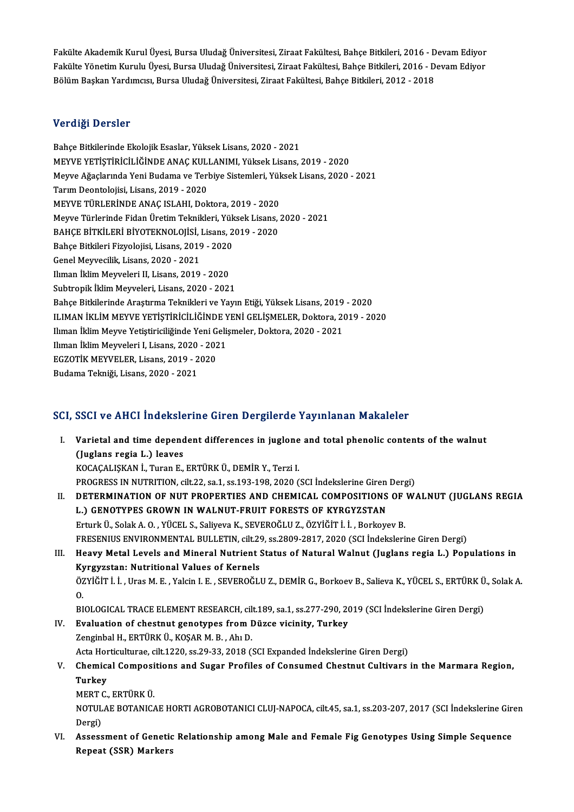Fakülte Akademik Kurul Üyesi, Bursa Uludağ Üniversitesi, Ziraat Fakültesi, Bahçe Bitkileri, 2016 - Devam Ediyor<br>Fakülte Vänetim Kurullı Üyesi, Bursa Uludağ Üniversitesi, Ziraat Fakültesi, Bahçe Bitkileri, 2016 - Devam Ediy Fakülte Akademik Kurul Üyesi, Bursa Uludağ Üniversitesi, Ziraat Fakültesi, Bahçe Bitkileri, 2016 - Devam Ediyor<br>Fakülte Yönetim Kurulu Üyesi, Bursa Uludağ Üniversitesi, Ziraat Fakültesi, Bahçe Bitkileri, 2016 - Devam Ediyo Fakülte Akademik Kurul Üyesi, Bursa Uludağ Üniversitesi, Ziraat Fakültesi, Bahçe Bitkileri, 2016 - D<br>Fakülte Yönetim Kurulu Üyesi, Bursa Uludağ Üniversitesi, Ziraat Fakültesi, Bahçe Bitkileri, 2016 - D<br>Bölüm Başkan Yardımc Bölüm Başkan Yardımcısı, Bursa Uludağ Üniversitesi, Ziraat Fakültesi, Bahçe Bitkileri, 2012 - 2018<br>Verdiği Dersler

Bahçe Bitkilerinde Ekolojik Esaslar, Yüksek Lisans, 2020 - 2021 verlargi Derbier<br>Bahçe Bitkilerinde Ekolojik Esaslar, Yüksek Lisans, 2020 - 2021<br>MEYVE YETİŞTİRİCİLİĞİNDE ANAÇ KULLANIMI, Yüksek Lisans, 2019 - 2020<br>Meyve Ağaslarında Vani Budama ve Terbiye Sistemleri, Yüksek Lisans, 2020 Meyve Ağaçlarında Yeni Budama ve Terbiye Sistemleri, Yüksek Lisans, 2020 - 2021<br>Tarım Deontolojisi, Lisans, 2019 - 2020 MEYVE YETİŞTİRİCİLİĞİNDE ANAÇ KULI<br>Meyve Ağaçlarında Yeni Budama ve Terl<br>Tarım Deontolojisi, Lisans, 2019 - 2020<br>MEYVE TÜPLERİNDE ANAÇ ISLAHLDOL MEYVE TÜRLERİNDE ANAÇ ISLAHI, Doktora, 2019 - 2020 MeyveTürlerinde FidanÜretimTeknikleri,YüksekLisans,2020 -2021 MEYVE TÜRLERİNDE ANAÇ ISLAHI, Doktora, 2019 - 2020<br>Meyve Türlerinde Fidan Üretim Teknikleri, Yüksek Lisans,<br>BAHÇE BİTKİLERİ BİYOTEKNOLOJİSİ, Lisans, 2019 - 2020<br>Bahçe Bitkileri Firyelejisi, Lisans, 2019, 2020 Meyve Türlerinde Fidan Üretim Teknikleri, Yük<br>BAHÇE BİTKİLERİ BİYOTEKNOLOJİSİ, Lisans, 2<br>Bahçe Bitkileri Fizyolojisi, Lisans, 2019 - 2020<br>Canal Maureailik, Lisans, 2020, 2021 BAHÇE BİTKİLERİ BİYOTEKNOLOJİSİ, I<br>Bahçe Bitkileri Fizyolojisi, Lisans, 2019<br>Genel Meyvecilik, Lisans, 2020 - 2021<br><sup>Human</sup> İldim Mayyeleri II, Lisans, 2019 Bahçe Bitkileri Fizyolojisi, Lisans, 2019 - 2020<br>Genel Meyvecilik, Lisans, 2020 - 2021<br>Ilıman İklim Meyveleri II, Lisans, 2019 - 2020 Subtropik İklim Meyveleri, Lisans, 2020 - 2021 Bahçe Bitkilerinde Araştırma Teknikleri ve Yayın Etiği, Yüksek Lisans, 2019 - 2020 Subtropik İklim Meyveleri, Lisans, 2020 - 2021<br>Bahçe Bitkilerinde Araştırma Teknikleri ve Yayın Etiği, Yüksek Lisans, 2019 - 2020<br>ILIMAN İKLİM MEYVE YETİŞTİRİCİLİĞİNDE YENİ GELİŞMELER, Doktora, 2019 - 2020<br>Iliman İklim May Bahçe Bitkilerinde Araştırma Teknikleri ve Yayın Etiği, Yüksek Lisans, 2019<br>ILIMAN İKLİM MEYVE YETİŞTİRİCİLİĞİNDE YENİ GELİŞMELER, Doktora, 20<br>Ilıman İklim Meyve Yetiştiriciliğinde Yeni Gelişmeler, Doktora, 2020 - 2021<br>Ilı ILIMAN İKLİM MEYVE YETİŞTİRİCİLİĞİNDE Y<br>Ilıman İklim Meyve Yetiştiriciliğinde Yeni Geli;<br>Ilıman İklim Meyveleri I, Lisans, 2020 - 2021<br>ECZOTİK MEYVELER Lisans, 2019, 2020 Ilıman İklim Meyve Yetiştiriciliğinde Yeni Gelişmeler, Doktora, 2020 - 2021<br>Ilıman İklim Meyveleri I, Lisans, 2020 - 2021<br>EGZOTİK MEYVELER, Lisans, 2019 - 2020<br>Budama Tekniği, Lisans, 2020 - 2021 EGZOTİK MEYVELER, Lisans, 2019 - 2020

# SCI, SSCI ve AHCI İndekslerine Giren Dergilerde Yayınlanan Makaleler

CI, SSCI ve AHCI İndekslerine Giren Dergilerde Yayınlanan Makaleler<br>I. Varietal and time dependent differences in juglone and total phenolic contents of the walnut<br>(Juglans ragia J.) laaves ESSITYS INTERNATIONS<br>Varietal and time depend<br>(Juglans regia L.) leaves<br>VOCACALISYAN L.Turen E (Juglans regia L.) leaves<br>KOCAÇALIŞKAN İ., Turan E., ERTÜRK Ü., DEMİR Y., Terzi I. PROGRESS IN NUTRITION, cilt.22, sa.1, ss.193-198, 2020 (SCI İndekslerine Giren Dergi) KOCAÇALIŞKAN İ., Turan E., ERTÜRK Ü., DEMİR Y., Terzi I.<br>PROGRESS IN NUTRITION, cilt.22, sa.1, ss.193-198, 2020 (SCI İndekslerine Giren Dergi)<br>II. DETERMINATION OF NUT PROPERTIES AND CHEMICAL COMPOSITIONS OF WALNUT (JUGLAN PROGRESS IN NUTRITION, cilt.22, sa.1, ss.193-198, 2020 (SCI İndekslerine Giren<br>DETERMINATION OF NUT PROPERTIES AND CHEMICAL COMPOSITIONS<br>L.) GENOTYPES GROWN IN WALNUT-FRUIT FORESTS OF KYRGYZSTAN<br>Ertyph Ü. Salak A.O. VÜCEL DETERMINATION OF NUT PROPERTIES AND CHEMICAL COMPOSITIONS OF<br>L.) GENOTYPES GROWN IN WALNUT-FRUIT FORESTS OF KYRGYZSTAN<br>Erturk Ü., Solak A. O. , YÜCEL S., Saliyeva K., SEVEROĞLU Z., ÖZYİĞİT İ. İ. , Borkoyev B.<br>ERESENIJIS EN L.) GENOTYPES GROWN IN WALNUT-FRUIT FORESTS OF KYRGYZSTAN<br>Erturk Ü., Solak A. O. , YÜCEL S., Saliyeva K., SEVEROĞLU Z., ÖZYİĞİT İ. İ. , Borkoyev B.<br>FRESENIUS ENVIRONMENTAL BULLETIN, cilt.29, ss.2809-2817, 2020 (SCI İndeksl Erturk Ü., Solak A. O. , YÜCEL S., Saliyeva K., SEVEROĞLU Z., ÖZYİĞİT İ. İ. , Borkoyev B.<br>FRESENIUS ENVIRONMENTAL BULLETIN, cilt.29, ss.2809-2817, 2020 (SCI İndekslerine Giren Dergi)<br>III. Heavy Metal Levels and Mineral FRESENIUS ENVIRONMENTAL BULLETIN, cilt.29<br>Heavy Metal Levels and Mineral Nutrient :<br>Kyrgyzstan: Nutritional Values of Kernels<br>ÖZVİĞİTİ I. Urac M.E. Valejn L.E. SEVEROĞLI Heavy Metal Levels and Mineral Nutrient Status of Natural Walnut (Juglans regia L.) Populations in<br>Kyrgyzstan: Nutritional Values of Kernels<br>ÖZYİĞİT İ. İ., Uras M. E. , Yalcin I. E. , SEVEROĞLU Z., DEMİR G., Borkoev B., Sa Ky<br>ÖZ<br>DI ÖZYİĞİT İ. İ. , Uras M. E. , Yalcin I. E. , SEVEROĞLU Z., DEMİR G., Borkoev B., Salieva K., YÜCEL S., ERTÜRK Ü., Solak A.<br>O.<br>BIOLOGICAL TRACE ELEMENT RESEARCH, cilt.189, sa.1, ss.277-290, 2019 (SCI İndekslerine Giren Dergi IV. Evaluation of chestnut genotypes fromDüzce vicinity, Turkey ZenginbalH.,ERTÜRKÜ.,KOŞARM.B. ,AhıD. Zenginbal H., ERTÜRK Ü., KOŞAR M. B. , Ahı D.<br>Acta Horticulturae, cilt.1220, ss.29-33, 2018 (SCI Expanded İndekslerine Giren Dergi)<br>V. Chemical Compositions and Sugar Profiles of Consumed Chestnut Cultivars in the Marm

Acta Horticulturae, cilt.1220, ss.29-33, 2018 (SCI Expanded İndekslerine Giren Dergi)

Acta Hor<br><mark>Chemica</mark><br>Turkey<br>MEPT C Chemical Composi<br>Turkey<br>MERT C., ERTÜRK Ü.<br>NOTULAE BOTANIC

Turkey<br>MERT C., ERTÜRK Ü.<br>NOTULAE BOTANICAE HORTI AGROBOTANICI CLUJ-NAPOCA, cilt.45, sa.1, ss.203-207, 2017 (SCI İndekslerine Giren<br>Dergi) MERT<br>NOTUL<br>Dergi)<br>Assess

NOTULAE BOTANICAE HORTI AGROBOTANICI CLUJ-NAPOCA, cilt.45, sa.1, ss.203-207, 2017 (SCI İndekslerine Gir<br>Dergi)<br>VI. Assessment of Genetic Relationship among Male and Female Fig Genotypes Using Simple Sequence<br>Papeat (SSP) M Dergi)<br>Assessment of Genetic<br>Repeat (SSR) Markers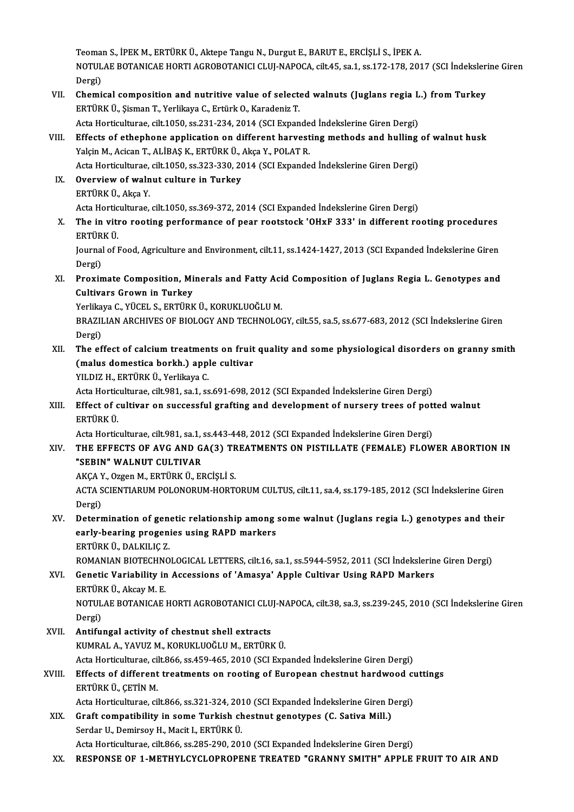Teoman S., İPEK M., ERTÜRK Ü., Aktepe Tangu N., Durgut E., BARUT E., ERCİŞLİ S., İPEK A.<br>NOTULAE BOTANICAE HOPTI ACROBOTANICI CLUI NAPOCA. silt 45, 83,1, 83,172,178, 201 Teoman S., İPEK M., ERTÜRK Ü., Aktepe Tangu N., Durgut E., BARUT E., ERCİŞLİ S., İPEK A.<br>NOTULAE BOTANICAE HORTI AGROBOTANICI CLUJ-NAPOCA, cilt.45, sa.1, ss.172-178, 2017 (SCI İndekslerine Giren Teoma<br>NOTUL<br>Dergi)<br>Chemi NOTULAE BOTANICAE HORTI AGROBOTANICI CLUJ-NAPOCA, cilt.45, sa.1, ss.172-178, 2017 (SCI İndeksleri<br>Dergi)<br>VII. Chemical composition and nutritive value of selected walnuts (Juglans regia L.) from Turkey

- Dergi)<br>Chemical composition and nutritive value of select<br>ERTÜRK Ü., Şisman T., Yerlikaya C., Ertürk O., Karadeniz T.<br>Asta Hertigulturae silt 1050 ss 221 224 2014 (SCL Evpan Chemical composition and nutritive value of selected walnuts (Juglans regia L<br>ERTÜRK Ü., Șisman T., Yerlikaya C., Ertürk O., Karadeniz T.<br>Acta Horticulturae, cilt.1050, ss.231-234, 2014 (SCI Expanded İndekslerine Giren Der
- ERTÜRK Ü., Şisman T., Yerlikaya C., Ertürk O., Karadeniz T.<br>Acta Horticulturae, cilt.1050, ss.231-234, 2014 (SCI Expanded Indekslerine Giren Dergi)<br>VIII. Effects of ethephone application on different harvesting methods and Acta Horticulturae, cilt.1050, ss.231-234, 2014 (SCI Expande<br>Effects of ethephone application on different harvest<br>Yalçin M., Acican T., ALİBAŞ K., ERTÜRK Ü., Akça Y., POLAT R.<br>Asta Hortisulturae, silt 1050, ss.222, 220, 2 Effects of ethephone application on different harvesting methods and hulling<br>Yalçin M., Acican T., ALİBAŞ K., ERTÜRK Ü., Akça Y., POLAT R.<br>Acta Horticulturae, cilt.1050, ss.323-330, 2014 (SCI Expanded İndekslerine Giren De Acta Horticulturae, cilt,1050, ss,323-330, 2014 (SCI Expanded Indekslerine Giren Dergi)

Yalçin M., Acican T., ALİBAŞ K., ERTÜRK Ü., Akça Y., POLAT R.<br>Acta Horticulturae, cilt.1050, ss.323-330, 2014 (SCI Expande<br>IX. Overview of walnut culture in Turkey<br>ERTÜRK Ü., Akça Y. ActaHorticulturae, cilt.1050, ss.369-372,2014 (SCIExpanded İndekslerineGirenDergi)

ERTÜRK Ü., Akça Y.<br>Acta Horticulturae, cilt.1050, ss.369-372, 2014 (SCI Expanded İndekslerine Giren Dergi)<br>X. The in vitro rooting performance of pear rootstock 'OHxF 333' in different rooting procedures<br>ERTÜRK Ü Acta Hortic<br><mark>The in viti</mark><br>ERTÜRK Ü.<br>Journal of l The in vitro rooting performance of pear rootstock 'OHxF 333' in different rooting procedures<br>ERTÜRK Ü.<br>Journal of Food, Agriculture and Environment, cilt.11, ss.1424-1427, 2013 (SCI Expanded İndekslerine Giren<br>Persi)

ERTÜR<br>Journal<br>Dergi)<br>Provin Journal of Food, Agriculture and Environment, cilt.11, ss.1424-1427, 2013 (SCI Expanded Indekslerine Giren<br>Dergi)<br>XI. Proximate Composition, Minerals and Fatty Acid Composition of Juglans Regia L. Genotypes and<br>Cultivers C

Dergi)<br>Proximate Composition, Mi<br>Cultivars Grown in Turkey<br>Yerlikave C. VÜCELS, EPTÜRK Proximate Composition, Minerals and Fatty Aci<br>Cultivars Grown in Turkey<br>Yerlikaya C., YÜCEL S., ERTÜRK Ü., KORUKLUOĞLU M.<br>PRAZILIAN ARCHIVES OF PIOLOCY AND TECHNOLOG

Cultivars Grown in Turkey<br>Yerlikaya C., YÜCEL S., ERTÜRK Ü., KORUKLUOĞLU M.<br>BRAZILIAN ARCHIVES OF BIOLOGY AND TECHNOLOGY, cilt.55, sa.5, ss.677-683, 2012 (SCI İndekslerine Giren Yerlikaya C., YÜCEL S., ERTÜRK Ü., KORUKLUOĞLU M.<br>BRAZILIAN ARCHIVES OF BIOLOGY AND TECHNOLOGY, cilt.55, sa.5, ss.677-683, 2012 (SCI İndekslerine Giren<br>Dergi)<br>The effect of calcium treatments on fruit quality and some phys BRAZILIAN ARCHIVES OF BIOLOGY AND TECHNOLOGY, cilt.55, sa.5, ss.677-683, 2012 (SCI İndekslerine Giren<br>Dergi)<br>XII. The effect of calcium treatments on fruit quality and some physiological disorders on granny smith<br>(malus da

# Dergi)<br>The effect of calcium treatments on fruit<br>(malus domestica borkh.) apple cultivar<br>YU DIZ H. EPTÜRK Ü. Vorlikave C The effect of calcium treatmen<br>(malus domestica borkh.) app<br>YILDIZ H., ERTÜRK Ü., Yerlikaya C.<br>Acta Hartiqulturae cilt 991, sa 1, ss (malus domestica borkh.) apple cultivar<br>YILDIZ H., ERTÜRK Ü., Yerlikaya C.<br>Acta Horticulturae, cilt.981, sa.1, ss.691-698, 2012 (SCI Expanded İndekslerine Giren Dergi)<br>Effect of sultivar on successful grafting and develenm

YILDIZ H., ERTÜRK Ü., Yerlikaya C.<br>Acta Horticulturae, cilt.981, sa.1, ss.691-698, 2012 (SCI Expanded İndekslerine Giren Dergi)<br>XIII. Effect of cultivar on successful grafting and development of nursery trees of potted Acta Hortic<br><mark>Effect of c</mark><br>ERTÜRK Ü.<br>Acta Hortic Effect of cultivar on successful grafting and development of nursery trees of pot<br>ERTÜRK Ü.<br>Acta Horticulturae, cilt.981, sa.1, ss.443-448, 2012 (SCI Expanded İndekslerine Giren Dergi)<br>THE EEEECTS OF AVC AND CA(3) TREATMEN

# ERTÜRK Ü.<br>Acta Horticulturae, cilt.981, sa.1, ss.443-448, 2012 (SCI Expanded İndekslerine Giren Dergi)<br>XIV. THE EFFECTS OF AVG AND GA(3) TREATMENTS ON PISTILLATE (FEMALE) FLOWER ABORTION IN<br>"SERIN" WALNUT CULTIVAR Acta Horticulturae, cilt.981, sa.1, s<br>THE EFFECTS OF AVG AND G.<br>"SEBIN" WALNUT CULTIVAR THE EFFECTS OF AVG AND GA(3) TR<br>"SEBIN" WALNUT CULTIVAR<br>AKÇA Y., Ozgen M., ERTÜRK Ü., ERCİŞLİ S.<br>ACTA SCIENTIARIJA POLONORUM HOPTI

"SEBIN" WALNUT CULTIVAR<br>AKÇA Y., Ozgen M., ERTÜRK Ü., ERCİŞLİ S.<br>ACTA SCIENTIARUM POLONORUM-HORTORUM CULTUS, cilt.11, sa.4, ss.179-185, 2012 (SCI İndekslerine Giren<br>Dergi) AKÇA Y<br>ACTA S<br>Dergi)<br>Deterr ACTA SCIENTIARUM POLONORUM-HORTORUM CULTUS, cilt.11, sa.4, ss.179-185, 2012 (SCI İndekslerine Giren<br>Dergi)<br>XV. Determination of genetic relationship among some walnut (Juglans regia L.) genotypes and their<br>Sarly bearing pr

# Dergi)<br>Determination of genetic relationship among<br>early-bearing progenies using RAPD markers<br>FRTÜRKÜ DALKU ICZ Determination of gene<br>early-bearing progeni<br>ERTÜRK Ü., DALKILIÇ Z.<br>POMANIAN PIOTECHNO

ERTÜRK Ü., DALKILIÇ Z.<br>ROMANIAN BIOTECHNOLOGICAL LETTERS, cilt.16, sa.1, ss.5944-5952, 2011 (SCI İndekslerine Giren Dergi)

# ERTÜRK Ü., DALKILIÇ Z.<br>ROMANIAN BIOTECHNOLOGICAL LETTERS, cilt.16, sa.1, ss.5944-5952, 2011 (SCI İndekslerin<br>XVI. Genetic Variability in Accessions of 'Amasya' Apple Cultivar Using RAPD Markers<br>EPTÜPK Ü. Akov M. E ROMANIAN BIOTECHN<br>Genetic Variability in<br>ERTÜRK Ü., Akcay M. E.<br>NOTIU AE POTANICAE I NOTULAE BOTANICAE HORTI AGROBOTANICI CLUJ-NAPOCA, cilt.38, sa.3, ss.239-245, 2010 (SCI İndekslerine Giren<br>Dergi) ERTÜRK Ü., Akcay M. E.

XVII. Antifungal activity of chestnut shell extracts

KUMRAL A., YAVUZ M., KORUKLUOĞLU M., ERTÜRK Ü.

Antifungal activity of chestnut shell extracts<br>KUMRAL A., YAVUZ M., KORUKLUOĞLU M., ERTÜRK Ü.<br>Acta Horticulturae, cilt.866, ss.459-465, 2010 (SCI Expanded İndekslerine Giren Dergi)<br>Effects of different treatments on reatin

# KUMRAL A., YAVUZ M., KORUKLUOĞLU M., ERTÜRK Ü.<br>Acta Horticulturae, cilt.866, ss.459-465, 2010 (SCI Expanded İndekslerine Giren Dergi)<br>XVIII. Effects of different treatments on rooting of European chestnut hardwood cuttings Acta Horticulturae, cil<br>Effects of different<br>ERTÜRK Ü., ÇETİN M.<br>Acta Horticulturae, cil Effects of different treatments on rooting of European chestnut hardwood ci<br>ERTÜRK Ü., ÇETİN M.<br>Acta Horticulturae, cilt.866, ss.321-324, 2010 (SCI Expanded İndekslerine Giren Dergi)<br>Craft compatibility in some Turkish she

- ERTÜRK Ü., ÇETİN M.<br>Acta Horticulturae, cilt.866, ss.321-324, 2010 (SCI Expanded İndekslerine Giren D<br>XIX. Graft compatibility in some Turkish chestnut genotypes (C. Sativa Mill.)<br>Serder U. Demineeu H. Mesit L. EPTÜRK Acta Horticulturae, cilt.866, ss.321-324, 201<br>Graft compatibility in some Turkish ch<br>Serdar U., Demirsoy H., Macit I., ERTÜRK Ü.<br>Asta Hortisulturae, silt 866, ss.295, 200, 201 Serdar U., Demirsoy H., Macit I., ERTÜRK Ü.<br>Acta Horticulturae, cilt.866, ss.285-290, 2010 (SCI Expanded İndekslerine Giren Dergi)
- XX. RESPONSE OF 1-METHYLCYCLOPROPENE TREATED "GRANNY SMITH" APPLE FRUIT TO AIR AND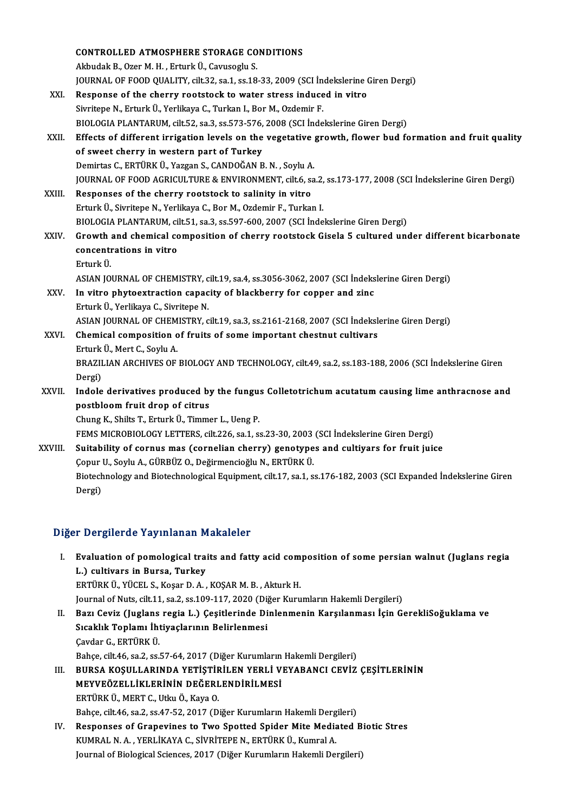|         | <b>CONTROLLED ATMOSPHERE STORAGE CONDITIONS</b>                                                                |
|---------|----------------------------------------------------------------------------------------------------------------|
|         | Akbudak B., Ozer M. H., Erturk Ü., Cavusoglu S.                                                                |
|         | JOURNAL OF FOOD QUALITY, cilt.32, sa.1, ss.18-33, 2009 (SCI Indekslerine Giren Dergi)                          |
| XXI.    | Response of the cherry rootstock to water stress induced in vitro                                              |
|         | Sivritepe N., Erturk Ü., Yerlikaya C., Turkan I., Bor M., Ozdemir F.                                           |
|         | BIOLOGIA PLANTARUM, cilt.52, sa.3, ss.573-576, 2008 (SCI İndekslerine Giren Dergi)                             |
| XXII.   | Effects of different irrigation levels on the vegetative growth, flower bud formation and fruit quality        |
|         | of sweet cherry in western part of Turkey                                                                      |
|         | Demirtas C., ERTÜRK Ü., Yazgan S., CANDOĞAN B. N., Soylu A.                                                    |
|         | JOURNAL OF FOOD AGRICULTURE & ENVIRONMENT, cilt.6, sa.2, ss.173-177, 2008 (SCI Indekslerine Giren Dergi)       |
| XXIII.  | Responses of the cherry rootstock to salinity in vitro                                                         |
|         | Erturk Ü., Sivritepe N., Yerlikaya C., Bor M., Ozdemir F., Turkan I.                                           |
|         | BIOLOGIA PLANTARUM, cilt.51, sa.3, ss.597-600, 2007 (SCI Indekslerine Giren Dergi)                             |
| XXIV.   | Growth and chemical composition of cherry rootstock Gisela 5 cultured under different bicarbonate              |
|         | concentrations in vitro                                                                                        |
|         | Erturk Ü                                                                                                       |
|         | ASIAN JOURNAL OF CHEMISTRY, cilt.19, sa.4, ss.3056-3062, 2007 (SCI Indekslerine Giren Dergi)                   |
| XXV.    | In vitro phytoextraction capacity of blackberry for copper and zinc                                            |
|         | Erturk Ü., Yerlikaya C., Sivritepe N.                                                                          |
|         | ASIAN JOURNAL OF CHEMISTRY, cilt.19, sa.3, ss.2161-2168, 2007 (SCI İndekslerine Giren Dergi)                   |
| XXVI.   | Chemical composition of fruits of some important chestnut cultivars                                            |
|         | Erturk Ü., Mert C., Soylu A.                                                                                   |
|         | BRAZILIAN ARCHIVES OF BIOLOGY AND TECHNOLOGY, cilt.49, sa.2, ss.183-188, 2006 (SCI Indekslerine Giren          |
|         | Dergi)                                                                                                         |
| XXVII.  | Indole derivatives produced by the fungus Colletotrichum acutatum causing lime anthracnose and                 |
|         | postbloom fruit drop of citrus                                                                                 |
|         | Chung K., Shilts T., Erturk Ü., Timmer L., Ueng P.                                                             |
|         | FEMS MICROBIOLOGY LETTERS, cilt.226, sa.1, ss.23-30, 2003 (SCI Indekslerine Giren Dergi)                       |
| XXVIII. | Suitability of cornus mas (cornelian cherry) genotypes and cultiyars for fruit juice                           |
|         | Çopur U., Soylu A., GÜRBÜZ O., Değirmencioğlu N., ERTÜRK Ü.                                                    |
|         | Biotechnology and Biotechnological Equipment, cilt.17, sa.1, ss.176-182, 2003 (SCI Expanded Indekslerine Giren |
|         | Dergi)                                                                                                         |

# Diğer Dergilerde Yayınlanan Makaleler

|    | Diğer Dergilerde Yayınlanan Makaleler                                                             |
|----|---------------------------------------------------------------------------------------------------|
| Ъ. | Evaluation of pomological traits and fatty acid composition of some persian walnut (Juglans regia |
|    | L.) cultivars in Bursa, Turkey                                                                    |
|    | ERTÜRK Ü., YÜCEL S., Koşar D. A., KOŞAR M. B., Akturk H.                                          |
|    | Journal of Nuts, cilt.11, sa.2, ss.109-117, 2020 (Diğer Kurumların Hakemli Dergileri)             |
| Н. | Bazı Ceviz (Juglans regia L.) Çeşitlerinde Dinlenmenin Karşılanması İçin GerekliSoğuklama ve      |
|    | Creablic Tenlemi İktivaslanının Delinlenmesi                                                      |

- Journal of Nuts, cilt.11, sa.2, ss.109-117, 2020 (Dij<br>Bazı Ceviz (Juglans regia L.) Çeşitlerinde Di<br>Sıcaklık Toplamı İhtiyaçlarının Belirlenmesi<br>Caydar C. EPTÜPK Ü Bazı Ceviz (Juglans<br>Sıcaklık Toplamı İht<br>Çavdar G., ERTÜRK Ü.<br>Babas sit 46 sa 2 sal Sıcaklık Toplamı İhtiyaçlarının Belirlenmesi<br>Çavdar G., ERTÜRK Ü.<br>Bahçe, cilt.46, sa.2, ss.57-64, 2017 (Diğer Kurumların Hakemli Dergileri) Çavdar G., ERTÜRK Ü.<br>Bahçe, cilt.46, sa.2, ss.57-64, 2017 (Diğer Kurumların Hakemli Dergileri)<br>III. BURSA KOŞULLARINDA YETİŞTİRİLEN YERLİ VEYABANCI CEVİZ ÇEŞİTLERİNİN<br>MEYVEÖZELLİKI ERİNİN DEĞERLENDİRLI MESİ
- Bahçe, cilt.46, sa.2, ss.57-64, 2017 (Diğer Kurumların<br>BURSA KOŞULLARINDA YETİŞTİRİLEN YERLİ V<br>MEYVEÖZELLİKLERİNİN DEĞERLENDİRİLMESİ<br>FRIJİDEJİ MERT C. Htm Ö. Kaya Q BURSA KOŞULLARINDA YETİŞTİF<br>MEYVEÖZELLİKLERİNİN DEĞERL<br>ERTÜRK Ü., MERT C., Utku Ö., Kaya O.<br>Pahaa cilt 46 ca 2 ca 47 52 2017 (D. MEYVEÖZELLİKLERİNİN DEĞERLENDİRİLMESİ<br>ERTÜRK Ü., MERT C., Utku Ö., Kaya O.<br>Bahçe, cilt.46, sa.2, ss.47-52, 2017 (Diğer Kurumların Hakemli Dergileri) ERTÜRK Ü., MERT C., Utku Ö., Kaya O.<br>Bahçe, cilt.46, sa.2, ss.47-52, 2017 (Diğer Kurumların Hakemli Dergileri)<br>IV. Responses of Grapevines to Two Spotted Spider Mite Mediated Biotic Stres<br>KUMRAL N.A., VERLİKAYA G. SİVRİTER
- Bahçe, cilt.46, sa.2, ss.47-52, 2017 (Diğer Kurumların Hakemli Derg<br>Responses of Grapevines to Two Spotted Spider Mite Media<br>KUMRAL N. A. , YERLİKAYA C., SİVRİTEPE N., ERTÜRK Ü., Kumral A.<br>Journal of Biological Ssiances, 2 Responses of Grapevines to Two Spotted Spider Mite Mediated B<br>KUMRAL N. A. , YERLİKAYA C., SİVRİTEPE N., ERTÜRK Ü., Kumral A.<br>Journal of Biological Sciences, 2017 (Diğer Kurumların Hakemli Dergileri)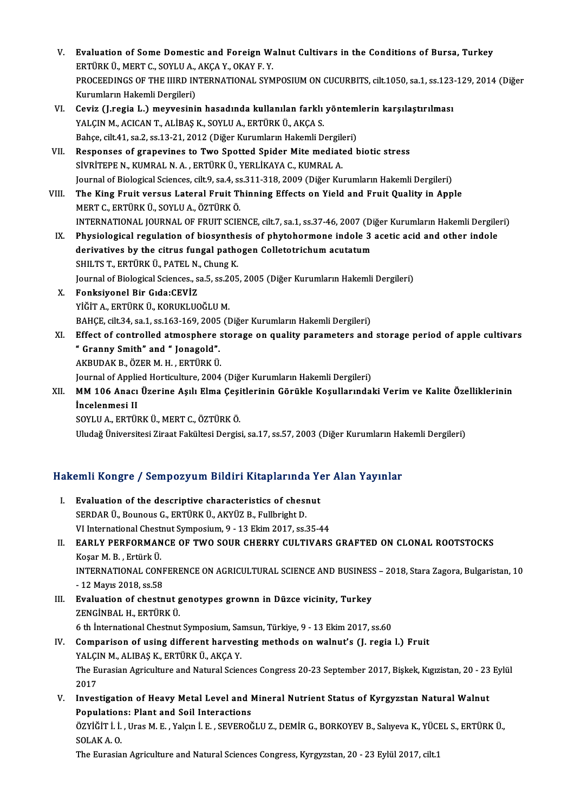- V. Evaluation of Some Domestic and Foreign Walnut Cultivars in the Conditions of Bursa, Turkey<br>FRTÜRK Ü. MERT C. SOVLUA, AKGA V. OKAV E.V. Evaluation of Some Domestic and Foreign W.<br>ERTÜRK Ü., MERT C., SOYLU A., AKÇA Y., OKAY F. Y.<br>PROCEEDINCS OF THE HIPD INTERNATIONAL SYM Evaluation of Some Domestic and Foreign Walnut Cultivars in the Conditions of Bursa, Turkey<br>ERTÜRK Ü., MERT C., SOYLU A., AKÇA Y., OKAY F. Y.<br>PROCEEDINGS OF THE IIIRD INTERNATIONAL SYMPOSIUM ON CUCURBITS, cilt.1050, sa.1, ERTÜRK Ü., MERT C., SOYLU A., AKÇA Y., OKAY F. Y.<br>PROCEEDINGS OF THE IIIRD INTERNATIONAL SYMPOSIUM ON CUCURBITS, cilt.1050, sa.1, ss.123-129, 2014 (Diğer<br>Kurumların Hakemli Dergileri) PROCEEDINGS OF THE IIIRD INTERNATIONAL SYMPOSIUM ON CUCURBITS, cilt.1050, sa.1, ss.123<br>Kurumların Hakemli Dergileri)<br>VI. Ceviz (J.regia L.) meyvesinin hasadında kullanılan farklı yöntemlerin karşılaştırılması<br>VALCIN M. ACI
- Kurumların Hakemli Dergileri)<br>Ceviz (J.regia L.) meyvesinin hasadında kullanılan farklı<br>YALÇIN M., ACICAN T., ALİBAŞ K., SOYLU A., ERTÜRK Ü., AKÇA S.<br>Pahçe silt41 sa 2 ss 12 21 2012 (Diğer Kurumların Hakemli D. Ceviz (J.regia L.) meyvesinin hasadında kullanılan farklı yöntem<br>YALÇIN M., ACICAN T., ALİBAŞ K., SOYLU A., ERTÜRK Ü., AKÇA S.<br>Bahçe, cilt.41, sa.2, ss.13-21, 2012 (Diğer Kurumların Hakemli Dergileri)<br>Bespenses of grapovin Bahçe, cilt.41, sa.2, ss.13-21, 2012 (Diğer Kurumların Hakemli Dergileri)
- YALÇIN M., ACICAN T., ALİBAŞ K., SOYLU A., ERTÜRK Ü., AKÇA S.<br>Bahçe, cilt.41, sa.2, ss.13-21, 2012 (Diğer Kurumların Hakemli Dergileri)<br>VII. Responses of grapevines to Two Spotted Spider Mite mediated biotic stress<br>SİVRİTE Responses of grapevines to Two Spotted Spider Mite mediated biotic stress<br>SİVRİTEPE N., KUMRAL N. A. , ERTÜRK Ü., YERLİKAYA C., KUMRAL A.<br>Journal of Biological Sciences, cilt.9, sa.4, ss.311-318, 2009 (Diğer Kurumların Hak
- VIII. The King Fruit versus Lateral Fruit Thinning Effects on Yield and Fruit Quality in Apple<br>MERT C., ERTÜRK Ü., SOYLU A., ÖZTÜRK Ö. Journal of Biological Sciences, cilt.9, sa.4, ss<br>The King Fruit versus Lateral Fruit Tl<br>MERT C., ERTÜRK Ü., SOYLU A., ÖZTÜRK Ö.<br>INTERNATIONAL JOURNAL OF FRUIT SCIE INTERNATIONAL JOURNAL OF FRUIT SCIENCE, cilt.7, sa.1, ss.37-46, 2007 (Diğer Kurumların Hakemli Dergileri) MERT C., ERTÜRK Ü., SOYLU A., ÖZTÜRK Ö.<br>INTERNATIONAL JOURNAL OF FRUIT SCIENCE, cilt.7, sa.1, ss.37-46, 2007 (Diğer Kurumların Hakemli Dergile<br>IX. Physiological regulation of biosynthesis of phytohormone indole 3 acetic ac
	- INTERNATIONAL JOURNAL OF FRUIT SCIENCE, cilt.7, sa.1, ss.37-46, 2007 (Di<br>Physiological regulation of biosynthesis of phytohormone indole 3<br>derivatives by the citrus fungal pathogen Colletotrichum acutatum<br>SHILTS T, EPTURK Physiological regulation of biosynthe<br>derivatives by the citrus fungal path<br>SHILTS T., ERTÜRK Ü., PATEL N., Chung K.<br>Journal of Biological Sciences, 29 5, 29,205 derivatives by the citrus fungal pathogen Colletotrichum acutatum<br>SHILTS T., ERTÜRK Ü., PATEL N., Chung K.<br>Journal of Biological Sciences., sa.5, ss.205, 2005 (Diğer Kurumların Hakemli Dergileri)<br>Fonksivonal Bir CiderCEVI7 SHILTS T., ERTÜRK Ü., PATEL N., Chung K.<br>Journal of Biological Sciences., sa.5, ss.205<br>X. Fonksiyonel Bir Gıda:CEVİZ<br>YİĞİT A., ERTÜRK Ü., KORUKLUOĞLU M.
	- Journal of Biological Sciences., sa.5, ss.2<br>Fonksiyonel Bir Gıda:CEVİZ<br>YİĞİT A., ERTÜRK Ü., KORUKLUOĞLU M.<br>BAHCE silt 24, sə.1, sə.162, 169, 2005 (F Fonksiyonel Bir Gıda:CEVİZ<br>YİĞİT A., ERTÜRK Ü., KORUKLUOĞLU M.<br>BAHÇE, cilt.34, sa.1, ss.163-169, 2005 (Diğer Kurumların Hakemli Dergileri)<br>Fffest of santralled atmosphare starsga an suality parametare and
- XI. Effect of controlled atmosphere storage on quality parameters and storage period of apple cultivars<br>" Granny Smith" and " Jonagold". BAHÇE, cilt.34, sa.1, ss.163-169, 2005<br>Effect of controlled atmosphere:<br>" Granny Smith" and " Jonagold".<br>AKRUDAK B. ÖZER M. H. ERTÜRK Ü AKBUDAKB.,ÖZERM.H. ,ERTÜRKÜ. **" Granny Smith" and " Jonagold".**<br>AKBUDAK B., ÖZER M. H. , ERTÜRK Ü.<br>Journal of Applied Horticulture, 2004 (Diğer Kurumların Hakemli Dergileri)<br>MM 106 Anası Üzerine Asılı Elma Cesitlerinin Görükle Kesullarındal AKBUDAK B., ÖZER M. H. , ERTÜRK Ü.<br>Journal of Applied Horticulture, 2004 (Diğer Kurumların Hakemli Dergileri)<br>XII. MM 106 Anacı Üzerine Aşılı Elma Çeşitlerinin Görükle Koşullarındaki Verim ve Kalite Özelliklerinin<br>İnge
- **Journal of Applie<br>MM 106 Anaci<br>İncelenmesi II**<br>SOVI II A. EPTÜI MM 106 Anacı Üzerine Aşılı Elma Çeşi<br>İncelenmesi II<br>SOYLU A., ERTÜRK Ü., MERT C., ÖZTÜRK Ö.<br>Uludağ Üniversitesi Zirast Fekültesi Dargis **İncelenmesi II**<br>SOYLU A., ERTÜRK Ü., MERT C., ÖZTÜRK Ö.<br>Uludağ Üniversitesi Ziraat Fakültesi Dergisi, sa.17, ss.57, 2003 (Diğer Kurumların Hakemli Dergileri)

# oludag oniversitesi ziraat rakuitesi bergisi, sa.17, ss.57, zoos (biger Kurumiarin Ha<br>Hakemli Kongre / Sempozyum Bildiri Kitaplarında Yer Alan Yayınlar

| Hakemli Kongre / Sempozyum Bildiri Kitaplarında Yer Alan Yayınlar |                                                                                                                    |  |
|-------------------------------------------------------------------|--------------------------------------------------------------------------------------------------------------------|--|
| L                                                                 | Evaluation of the descriptive characteristics of chesnut                                                           |  |
|                                                                   | SERDAR Ü., Bounous G., ERTÜRK Ü., AKYÜZ B., Fullbright D.                                                          |  |
|                                                                   | VI International Chestnut Symposium, 9 - 13 Ekim 2017, ss.35-44                                                    |  |
| Н.                                                                | <b>EARLY PERFORMANCE OF TWO SOUR CHERRY CULTIVARS GRAFTED ON CLONAL ROOTSTOCKS</b>                                 |  |
|                                                                   | Koşar M. B., Ertürk Ü.                                                                                             |  |
|                                                                   | INTERNATIONAL CONFERENCE ON AGRICULTURAL SCIENCE AND BUSINESS - 2018, Stara Zagora, Bulgaristan, 10                |  |
|                                                                   | - 12 Mayıs 2018, ss 58                                                                                             |  |
| III.                                                              | Evaluation of chestnut genotypes grownn in Düzce vicinity, Turkey                                                  |  |
|                                                                   | ZENGİNBAL H., ERTÜRK Ü.                                                                                            |  |
|                                                                   | 6 th International Chestnut Symposium, Samsun, Türkiye, 9 - 13 Ekim 2017, ss.60                                    |  |
| IV.                                                               | Comparison of using different harvesting methods on walnut's (J. regia l.) Fruit                                   |  |
|                                                                   | YALÇIN M., ALIBAŞ K., ERTÜRK Ü., AKÇA Y.                                                                           |  |
|                                                                   | The Eurasian Agriculture and Natural Sciences Congress 20-23 September 2017, Bişkek, Kıgızistan, 20 - 23 Eylül     |  |
|                                                                   | 2017                                                                                                               |  |
| V.                                                                | Investigation of Heavy Metal Level and Mineral Nutrient Status of Kyrgyzstan Natural Walnut                        |  |
|                                                                   | Populations: Plant and Soil Interactions                                                                           |  |
|                                                                   | ÖZYİĞİT İ. İ. , Uras M. E. , Yalçın İ. E. , SEVEROĞLU Z., DEMİR G., BORKOYEV B., Salıyeva K., YÜCEL S., ERTÜRK Ü., |  |
|                                                                   | SOLAK A.O.                                                                                                         |  |
|                                                                   | The Eurasian Agriculture and Natural Sciences Congress, Kyrgyzstan, 20 - 23 Eylül 2017, cilt.1                     |  |
|                                                                   |                                                                                                                    |  |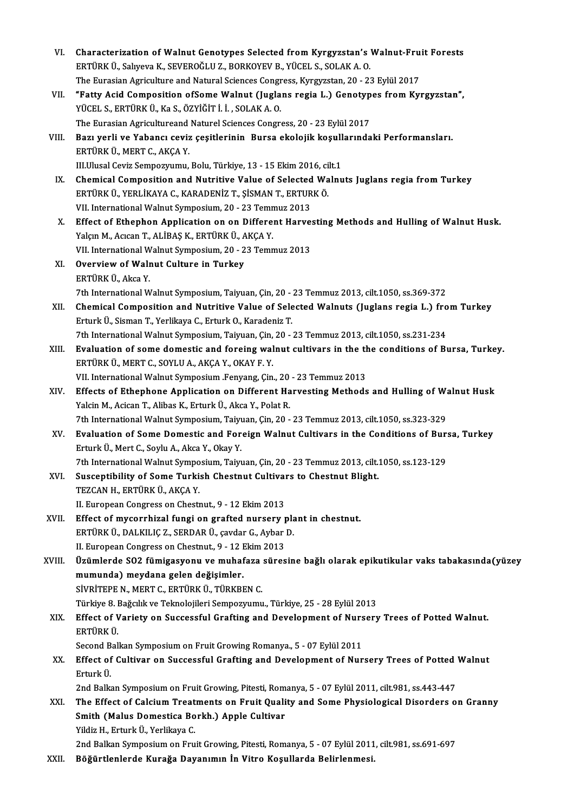Characterization of Walnut Genotypes Selected from Kyrgyzstan's<br>ERTÜRK Ü., Salıyeva K., SEVEROĞLU Z., BORKOYEV B., YÜCEL S., SOLAK A. O.<br>The Euresian Agriculture and Natural Sciences Congress, Kurgyzstan 20, 23 Characterization of Walnut Genotypes Selected from Kyrgyzstan's Walnut-Fru<br>ERTÜRK Ü., Salıyeva K., SEVEROĞLU Z., BORKOYEV B., YÜCEL S., SOLAK A. O.<br>The Eurasian Agriculture and Natural Sciences Congress, Kyrgyzstan, 20 - 2 ERTÜRK Ü., Salıyeva K., SEVEROĞLU Z., BORKOYEV B., YÜCEL S., SOLAK A. O.<br>The Eurasian Agriculture and Natural Sciences Congress, Kyrgyzstan, 20 - 23 Eylül 2017<br>VII. "Fatty Acid Composition ofSome Walnut (Juglans regia L.) The Eurasian Agriculture and Natural Sciences Congr<br>**"Fatty Acid Composition ofSome Walnut (Jugla<br>YÜCEL S., ERTÜRK Ü., Ka S., ÖZYİĞİT İ. İ. , SOLAK A. O.**<br>The Eurasian Agricultureand Natural Sciences Congr. "Fatty Acid Composition ofSome Walnut (Juglans regia L.) Genotyp<br>YÜCEL S., ERTÜRK Ü., Ka S., ÖZYİĞİT İ. İ. , SOLAK A. O.<br>The Eurasian Agricultureand Naturel Sciences Congress, 20 - 23 Eylül 2017<br>Bazı yorli ve Yahancı seviz YÜCEL S., ERTÜRK Ü., Ka S., ÖZYİĞİT İ. İ. , SOLAK A. O.<br>The Eurasian Agricultureand Naturel Sciences Congress, 20 - 23 Eylül 2017<br>VIII. Bazı yerli ve Yabancı ceviz çeşitlerinin Bursa ekolojik koşullarındaki Performansları. The Eurasian Agricultureand<br>Bazı yerli ve Yabancı ceviz<br>ERTÜRK Ü., MERT C., AKÇA Y.<br>III Illusal Ceviz Somnozunmu Bazı yerli ve Yabancı ceviz çeşitlerinin Bursa ekolojik koşull<br>ERTÜRK Ü., MERT C., AKÇA Y.<br>III.Ulusal Ceviz Sempozyumu, Bolu, Türkiye, 13 - 15 Ekim 2016, cilt.1<br>Chamical Campositian and Nutritiya Value of Salastad Walpu ERTÜRK Ü., MERT C., AKÇA Y.<br>III.Ulusal Ceviz Sempozyumu, Bolu, Türkiye, 13 - 15 Ekim 2016, cilt.1<br>IX. Chemical Composition and Nutritive Value of Selected Walnuts Juglans regia from Turkey<br>ERTÜRK Ü. VERLİKAYA C. KARADE III.Ulusal Ceviz Sempozyumu, Bolu, Türkiye, 13 - 15 Ekim 2016, ci<br>Chemical Composition and Nutritive Value of Selected Wa<br>ERTÜRK Ü., YERLİKAYA C., KARADENİZ T., ŞİSMAN T., ERTURK Ö.<br>VII. International Walnut Sumnosium 20 -Chemical Composition and Nutritive Value of Selected<br>ERTÜRK Ü., YERLİKAYA C., KARADENİZ T., ŞİSMAN T., ERTUR<br>VII. International Walnut Symposium, 20 - 23 Temmuz 2013<br>Effect of Ethenben Annlisation en en Different Herve ERTÜRK Ü., YERLİKAYA C., KARADENİZ T., ŞİSMAN T., ERTURK Ö.<br>13 VII. International Walnut Symposium, 20 - 23 Temmuz 2013<br>20 X. Effect of Ethephon Application on on Different Harvesting Methods and Hulling of Walnut Husk Yalçın M., Acıcan T., ALİBAŞ K., ERTÜRK Ü., AKÇA Y. Effect of Ethephon Application on on Different Harve:<br>Yalçın M., Acıcan T., ALİBAŞ K., ERTÜRK Ü., AKÇA Y.<br>VII. International Walnut Symposium, 20 - 23 Temmuz 2013<br>Quenview of Walnut Culture in Turkey. Yalçın M., Acıcan T., ALİBAŞ K., ERTÜRK Ü., A<br>VII. International Walnut Symposium, 20 - 2<br>XI. Overview of Walnut Culture in Turkey VII. International W<br>**Overview of Walı**<br>ERTÜRK Ü., Akca Y.<br><sup>7th International W</sup> 7th International Walnut Culture in Turkey<br>1997 - ERTÜRK Ü., Akca Y.<br>1998 - The International Walnut Symposium, Taiyuan, Cin, 20 - 23 Temmuz 2013, cilt.1050, ss.369-372 ERTÜRK Ü., Akca Y.<br>7th International Walnut Symposium, Taiyuan, Çin, 20 - 23 Temmuz 2013, cilt.1050, ss.369-372<br>XII. Chemical Composition and Nutritive Value of Selected Walnuts (Juglans regia L.) from Turkey<br>Frival: <sup></sup> 7th International Walnut Symposium, Taiyuan, Çin, 20 -<br>Chemical Composition and Nutritive Value of Sele<br>Erturk Ü., Sisman T., Yerlikaya C., Erturk O., Karadeniz T.<br>7th International Walnut Symposium, Tairuan, Cin, 20 Chemical Composition and Nutritive Value of Selected Walnuts (Juglans regia L.) fro<br>Erturk Ü., Sisman T., Yerlikaya C., Erturk O., Karadeniz T.<br>7th International Walnut Symposium, Taiyuan, Çin, 20 - 23 Temmuz 2013, cilt.10 Erturk Ü., Sisman T., Yerlikaya C., Erturk O., Karadeniz T.<br>7th International Walnut Symposium, Taiyuan, Çin, 20 - 23 Temmuz 2013, cilt.1050, ss.231-234<br>XIII. Evaluation of some domestic and foreing walnut cultivars in the 7th International Walnut Symposium, Taiyuan, Çin, 20 - 23 Temmuz 2013, cilt.1050, ss.231-234 Evaluation of some domestic and foreing walnut cultivars in the the<br>ERTÜRK Ü., MERT C., SOYLU A., AKÇA Y., OKAY F. Y.<br>VII. International Walnut Symposium .Fenyang, Çin., 20 - 23 Temmuz 2013<br>Effects of Ethenhone Annlisstien ERTÜRK Ü., MERT C., SOYLU A., AKÇA Y., OKAY F. Y.<br>VII. International Walnut Symposium .Fenyang, Çin., 20 - 23 Temmuz 2013<br>XIV. Effects of Ethephone Application on Different Harvesting Methods and Hulling of Walnut Husk<br>Val VII. International Walnut Symposium .Fenyang, Çin., 20<br>Effects of Ethephone Application on Different Ha<br>Yalcin M., Acican T., Alibas K., Erturk Ü., Akca Y., Polat R.<br>7th International Walnut Symposium .Tairuan Cin. 20 Effects of Ethephone Application on Different Harvesting Methods and Hulling of W:<br>Yalcin M., Acican T., Alibas K., Erturk Ü., Akca Y., Polat R.<br>7th International Walnut Symposium, Taiyuan, Çin, 20 - 23 Temmuz 2013, cilt.1 Yalcin M., Acican T., Alibas K., Erturk Ü., Akca Y., Polat R.<br>7th International Walnut Symposium, Taiyuan, Çin, 20 - 23 Temmuz 2013, cilt.1050, ss.323-329<br>XV. Evaluation of Some Domestic and Foreign Walnut Cultivars in 7th International Walnut Symposium, Taiyuan, Çin, 20 - 23 Temmuz 2013, cilt.1050, ss.323-329<br>**Evaluation of Some Domestic and Foreign Walnut Cultivars in the Conditions of Bur**<br>Erturk Ü., Mert C., Soylu A., Akca Y., Okay Y Evaluation of Some Domestic and Foreign Walnut Cultivars in the Conditions of Bur:<br>Erturk Ü., Mert C., Soylu A., Akca Y., Okay Y.<br>7th International Walnut Symposium, Taiyuan, Çin, 20 - 23 Temmuz 2013, cilt.1050, ss.123-129 Erturk Ü., Mert C., Soylu A., Akca Y., Okay Y.<br>7th International Walnut Symposium, Taiyuan, Çin, 20 - 23 Temmuz 2013, cilt.<br>XVI. Susceptibility of Some Turkish Chestnut Cultivars to Chestnut Blight.<br>TEZCAN H. EDTÜRK Ü. AKC TEZCAN H., ERTÜRK Ü., AKÇA Y.<br>II. European Congress on Chestnut., 9 - 12 Ekim 2013 Susceptibility of Some Turkish Chestnut Cultival<br>TEZCAN H., ERTÜRK Ü., AKÇA Y.<br>II. European Congress on Chestnut., 9 - 12 Ekim 2013<br>Effect of museuphiral fungi on grafted nuncour y XVII. Effect of mycorrhizal fungi on grafted nursery plant in chestnut. II. European Congress on Chestnut., 9 - 12 Ekim 2013<br>Effect of mycorrhizal fungi on grafted nursery pla<br>ERTÜRK Ü., DALKILIÇ Z., SERDAR Ü., çavdar G., Aybar D.<br>H. European Congress on Chestnut, 0, 12 Ekim 2012 Effect of mycorrhizal fungi on grafted nursery p<br>ERTÜRK Ü., DALKILIÇ Z., SERDAR Ü., çavdar G., Aybar<br>II. European Congress on Chestnut., 9 - 12 Ekim 2013<br>Ürümlanda SO2 fümisasyanu vs. muhafara sünas II. European Congress on Chestnut, 9 - 12 Ekim 2013<br>XVIII. Üzümlerde SO2 fümigasyonu ve muhafaza süresine bağlı olarak epikutikular vaks tabakasında(yüzey mumunda) meydana gelen değişimler. SİVRİTEPE N., MERT C., ERTÜRK Ü., TÜRKBEN C. Türkiye 8. Bağcılık ve Teknolojileri Sempozyumu., Türkiye, 25 - 28 Eylül 2013 SİVRİTEPE N., MERT C., ERTÜRK Ü., TÜRKBEN C.<br>Türkiye 8. Bağcılık ve Teknolojileri Sempozyumu., Türkiye, 25 - 28 Eylül 2013<br>XIX. Effect of Variety on Successful Grafting and Development of Nursery Trees of Potted Walnut Türkiye 8. l<br><mark>Effect of V</mark><br>ERTÜRK Ü.<br>Sesend Pel Effect of Variety on Successful Grafting and Development of Nurs<br>ERTÜRK Ü.<br>Second Balkan Symposium on Fruit Growing Romanya., 5 - 07 Eylül 2011<br>Effect of Cultiver on Sussessful Crefting and Development of Nur ERTÜRK Ü.<br>Second Balkan Symposium on Fruit Growing Romanya., 5 - 07 Eylül 2011<br>XX. Effect of Cultivar on Successful Grafting and Development of Nursery Trees of Potted Walnut<br>Frivrk Ü Second B<br>**Effect of**<br>Erturk Ü.<br><sup>2nd Bollr</sup> Effect of Cultivar on Successful Grafting and Development of Nursery Trees of Potted<br>Erturk Ü.<br>2nd Balkan Symposium on Fruit Growing, Pitesti, Romanya, 5 - 07 Eylül 2011, cilt.981, ss.443-447<br>The Effect of Colsium Treatmen Erturk Ü.<br>2nd Balkan Symposium on Fruit Growing, Pitesti, Romanya, 5 - 07 Eylül 2011, cilt.981, ss.443-447<br>XXI. The Effect of Calcium Treatments on Fruit Quality and Some Physiological Disorders on Granny 2nd Balkan Symposium on Fruit Growing, Pitesti, Romanya, 5 - 07 Eylül 2011, cilt.981, ss.443-447<br>The Effect of Calcium Treatments on Fruit Quality and Some Physiological Disorders o<br>Smith (Malus Domestica Borkh.) Apple Cul Smith (Malus Domestica Borkh.) Apple Cultivar 2nd Balkan Symposium on Fruit Growing, Pitesti, Romanya, 5 - 07 Eylül 2011, cilt.981, ss.691-697 XXII. Böğürtlenlerde Kurağa Dayanımın İn Vitro Koşullarda Belirlenmesi.

VI. Characterization of Walnut Genotypes Selected from Kyrgyzstan's Walnut-Fruit Forests<br>EPTÜPK Ü. Selveya K. SEVEROČLU Z. POPKOVEV P. VÜCEL S. SOLAKA O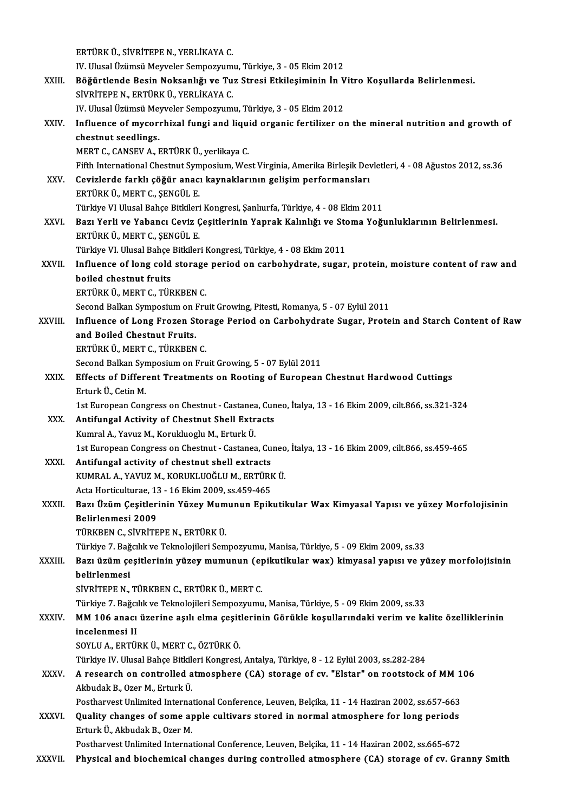ERTÜRKÜ.,SİVRİTEPEN.,YERLİKAYAC. ERTÜRK Ü., SİVRİTEPE N., YERLİKAYA C.<br>IV. Ulusal Üzümsü Meyveler Sempozyumu, Türkiye, 3 - 05 Ekim 2012<br>Böğüntlanda Basin Naksanlığı ve Tur Strasi Etkilesiminin İn V ERTÜRK Ü., SİVRİTEPE N., YERLİKAYA C.<br>IV. Ulusal Üzümsü Meyveler Sempozyumu, Türkiye, 3 - 05 Ekim 2012<br>XXIII. Böğürtlende Besin Noksanlığı ve Tuz Stresi Etkileşiminin İn Vitro Koşullarda Belirlenmesi.<br>SİVRİTERE N. ERTÜ IV. Ulusal Üzümsü Meyveler Sempozyum<br>Böğürtlende Besin Noksanlığı ve Tu<br>SİVRİTEPE N., ERTÜRK Ü., YERLİKAYA C.<br>IV. Ulusal Üzümsü Meyveler Sempozyum Böğürtlende Besin Noksanlığı ve Tuz Stresi Etkileşiminin İn V<br>SİVRİTEPE N., ERTÜRK Ü., YERLİKAYA C.<br>IV. Ulusal Üzümsü Meyveler Sempozyumu, Türkiye, 3 - 05 Ekim 2012<br>Influence of muserrhiral fungi and liquid organis fertili SİVRİTEPE N., ERTÜRK Ü., YERLİKAYA C.<br>IV. Ulusal Üzümsü Meyveler Sempozyumu, Türkiye, 3 - 05 Ekim 2012<br>XXIV. Influence of mycorrhizal fungi and liquid organic fertilizer on the mineral nutrition and growth of IV. Ulusal Üzümsü Meyveler Sempozyumu, Türkiye, 3 - 05 Ekim 2012<br>Influence of mycorrhizal fungi and liquid organic fertilizer o<br>chestnut seedlings.<br>MERT C., CANSEV A., ERTÜRK Ü., yerlikaya C. Influence of mycorrhizal fungi and liqu:<br>chestnut seedlings.<br>MERT C., CANSEV A., ERTÜRK Ü., yerlikaya C.<br>Eifth International Chestnut Symnosium Wes Fifth International Chestnut Symposium, West Virginia, Amerika Birleşik Devletleri, 4 - 08 Ağustos 2012, ss.36 MERT C., CANSEV A., ERTÜRK Ü., yerlikaya C.<br>Fifth International Chestnut Symposium, West Virginia, Amerika Birleşik Dev<br>XXV. Cevizlerde farklı çöğür anacı kaynaklarının gelişim performansları<br>ERTÜRK Ü. MERT C. SENCÜL E Fifth International Chestnut Sym<br>Cevizlerde farklı çöğür anac<br>ERTÜRK Ü., MERT C., ŞENGÜL E.<br>Türkiye VI Ulysel Bebee Bitkileri Cevizlerde farklı çöğür anacı kaynaklarının gelişim performansları<br>ERTÜRK Ü., MERT C., ŞENGÜL E.<br>Türkiye VI Ulusal Bahçe Bitkileri Kongresi, Şanlıurfa, Türkiye, 4 - 08 Ekim 2011<br>Bazı Yarli ve Yahangı Caviz Cesitlerinin Yan ERTÜRK Ü., MERT C., ŞENGÜL E.<br>Türkiye VI Ulusal Bahçe Bitkileri Kongresi, Şanlıurfa, Türkiye, 4 - 08 Ekim 2011<br>XXVI. Bazı Yerli ve Yabancı Ceviz Çeşitlerinin Yaprak Kalınlığı ve Stoma Yoğunluklarının Belirlenmesi. ERTÜRKÜ.,MERTC.,ŞENGÜL E. Bazı Yerli ve Yabancı Ceviz Çeşitlerinin Yaprak Kalınlığı ve Sto<br>ERTÜRK Ü., MERT C., ŞENGÜL E.<br>Türkiye VI. Ulusal Bahçe Bitkileri Kongresi, Türkiye, 4 - 08 Ekim 2011<br>Influence of lang sold stanage period en sarbohyduste, s ERTÜRK Ü., MERT C., ŞENGÜL E.<br>Türkiye VI. Ulusal Bahçe Bitkileri Kongresi, Türkiye, 4 - 08 Ekim 2011<br>XXVII. Influence of long cold storage period on carbohydrate, sugar, protein, moisture content of raw and<br>hoiled shes Türkiye VI. Ulusal Bahçe<br>Influence of long cold<br>boiled chestnut fruits<br>EPTÜPLÜ MEPT C-TÜE Influence of long cold storage<br>boiled chestnut fruits<br>ERTÜRK Ü., MERT C., TÜRKBEN C.<br>Second Ballian Sumnesium on Emi boiled chestnut fruits<br>ERTÜRK Ü., MERT C., TÜRKBEN C.<br>Second Balkan Symposium on Fruit Growing, Pitesti, Romanya, 5 - 07 Eylül 2011 ERTÜRK Ü., MERT C., TÜRKBEN C.<br>Second Balkan Symposium on Fruit Growing, Pitesti, Romanya, 5 - 07 Eylül 2011<br>XXVIII. Influence of Long Frozen Storage Period on Carbohydrate Sugar, Protein and Starch Content of Raw<br> Second Balkan Symposium on I<br>Influence of Long Frozen St<br>and Boiled Chestnut Fruits.<br>EPTÜPK Ü. MEPT C. TÜPKPEN Influence of Long Frozen Stor<br>and Boiled Chestnut Fruits.<br>ERTÜRK Ü., MERT C., TÜRKBEN C.<br>Second Balkan Sumnesium on Eru and Boiled Chestnut Fruits.<br>ERTÜRK Ü., MERT C., TÜRKBEN C.<br>Second Balkan Symposium on Fruit Growing, 5 - 07 Eylül 2011<br>Effects of Different Treatments on Booting of European ERTÜRK Ü., MERT C., TÜRKBEN C.<br>Second Balkan Symposium on Fruit Growing, 5 - 07 Eylül 2011<br>XXIX. Effects of Different Treatments on Rooting of European Chestnut Hardwood Cuttings<br>Erturk Ü. Cetin M Second Balkan Syr<br>**Effects of Differ**<br>Erturk Ü., Cetin M.<br>1st European Con Effects of Different Treatments on Rooting of European Chestnut Hardwood Cuttings<br>Erturk Ü., Cetin M.<br>1st European Congress on Chestnut-Castanea, Cuneo, İtalya, 13 - 16 Ekim 2009, cilt.866, ss.321-324<br>Antifungal Activity o Erturk Ü., Cetin M.<br>1st European Congress on Chestnut - Castanea, Cur<br>XXX. **Antifungal Activity of Chestnut Shell Extracts**<br>Kumral A., Yavuz M., Korukluoglu M., Erturk Ü. 1st European Congress on Chestnut - Castanea, Cuneo, İtalya, 13 - 16 Ekim 2009, cilt.866, ss.321-324 Antifungal Activity of Chestnut Shell Extracts<br>Kumral A., Yavuz M., Korukluoglu M., Erturk Ü.<br>1st European Congress on Chestnut - Castanea, Cuneo, İtalya, 13 - 16 Ekim 2009, cilt.866, ss.459-465<br>Antifungal astivity of shes Kumral A., Yavuz M., Korukluoglu M., Erturk Ü.<br>1st European Congress on Chestnut - Castanea, Cu<br>XXXI. Antifungal activity of chestnut shell extracts<br>EUMBAL A. YAVUZ M. FOBUKLUOČLU M. ERTÜBE 1st European Congress on Chestnut - Castanea, Cuneo<br>Antifungal activity of chestnut shell extracts<br>KUMRAL A., YAVUZ M., KORUKLUOĞLU M., ERTÜRK Ü.<br>Asta Hartisulturae 12, 16 Ekim 2009, 88 459 465 Antifungal activity of chestnut shell extracts<br>KUMRAL A., YAVUZ M., KORUKLUOĞLU M., ERTÜRI<br>Acta Horticulturae, 13 - 16 Ekim 2009, ss.459-465<br>Peru Ürüm Cesitlerinin Vüzey Mumunun Enik KUMRAL A., YAVUZ M., KORUKLUOĞLU M., ERTÜRK Ü.<br>Acta Horticulturae, 13 - 16 Ekim 2009, ss.459-465<br>XXXII. Bazı Üzüm Çeşitlerinin Yüzey Mumunun Epikutikular Wax Kimyasal Yapısı ve yüzey Morfolojisinin<br>Belirlenmesi 2009 Acta Horticulturae, 13<br>Bazı Üzüm Çeşitleri<br>Belirlenmesi 2009<br>Tünkpen C-sivnime TÜRKBENC.,SİVRİTEPEN.,ERTÜRKÜ. Belirlenmesi 2009<br>TÜRKBEN C., SİVRİTEPE N., ERTÜRK Ü.<br>Türkiye 7. Bağcılık ve Teknolojileri Sempozyumu, Manisa, Türkiye, 5 - 09 Ekim 2009, ss.33<br>Begi ürüm sesitlerinin yüzey mumunun (enilyıtılmlar yıcı), kimyasal yanısı ye TÜRKBEN C., SİVRİTEPE N., ERTÜRK Ü.<br>Türkiye 7. Bağcılık ve Teknolojileri Sempozyumu, Manisa, Türkiye, 5 - 09 Ekim 2009, ss.33<br>XXXIII. Bazı üzüm çeşitlerinin yüzey mumunun (epikutikular wax) kimyasal yapısı ve yüzey mor Türkiye 7. Bağ<br><mark>Bazı üzüm çe</mark><br>belirlenmesi<br>siypi<del>r</del>epe n Bazı üzüm çeşitlerinin yüzey mumunun (e<sub>l</sub><br>belirlenmesi<br>SİVRİTEPE N., TÜRKBEN C., ERTÜRK Ü., MERT C.<br>Türkiye 7. Beğelli ve Telmelejileri Semnezumun belirlenmesi<br>SİVRİTEPE N., TÜRKBEN C., ERTÜRK Ü., MERT C.<br>Türkiye 7. Bağcılık ve Teknolojileri Sempozyumu, Manisa, Türkiye, 5 - 09 Ekim 2009, ss.33 SİVRİTEPE N., TÜRKBEN C., ERTÜRK Ü., MERT C.<br>Türkiye 7. Bağcılık ve Teknolojileri Sempozyumu, Manisa, Türkiye, 5 - 09 Ekim 2009, ss.33<br>XXXIV. MM 106 anacı üzerine aşılı elma çeşitlerinin Görükle koşullarındaki verim ve Türkiye 7. Bağcı<br>MM 106 anacı<br>incelenmesi II<br>SOVULA EPTÜ MM 106 anacı üzerine aşılı elma çeşit<br>incelenmesi II<br>SOYLU A., ERTÜRK Ü., MERT C., ÖZTÜRK Ö.<br>Türkiye IV. Ulusel Babse Bitkileri Konsresi incelenmesi II<br>SOYLU A., ERTÜRK Ü., MERT C., ÖZTÜRK Ö.<br>Türkiye IV. Ulusal Bahçe Bitkileri Kongresi, Antalya, Türkiye, 8 - 12 Eylül 2003, ss.282-284<br>A. researeb en santralled etmesnbere (CA), starase of sv. "Elstar" en reet SOYLU A., ERTÜRK Ü., MERT C., ÖZTÜRK Ö.<br>Türkiye IV. Ulusal Bahçe Bitkileri Kongresi, Antalya, Türkiye, 8 - 12 Eylül 2003, ss.282-284<br>XXXV. A research on controlled atmosphere (CA) storage of cv. "Elstar" on rootstock o Türkiye IV. Ulusal Bahçe Bitkil<br>A research on controlled a<br>Akbudak B., Ozer M., Erturk Ü.<br>Besthawest Unlimited Interna A research on controlled atmosphere (CA) storage of cv. "Elstar" on rootstock of MM 1<br>Akbudak B., Ozer M., Erturk Ü.<br>Postharvest Unlimited International Conference, Leuven, Belçika, 11 - 14 Haziran 2002, ss.657-663<br>Quality Akbudak B., Ozer M., Erturk Ü.<br>Postharvest Unlimited International Conference, Leuven, Belçika, 11 - 14 Haziran 2002, ss.657-663<br>XXXVI. Quality changes of some apple cultivars stored in normal atmosphere for long periods Postharvest Unlimited Interna<br>**Quality changes of some ap<br>Erturk Ü., Akbudak B., Ozer M.**<br>Posthawyat Unlimited Interna Quality changes of some apple cultivars stored in normal atmosphere for long periods<br>Erturk Ü., Akbudak B., Ozer M.<br>Postharvest Unlimited International Conference, Leuven, Belçika, 11 - 14 Haziran 2002, ss.665-672

XXXVII. Physical and biochemical changes during controlled atmosphere (CA) storage of cv. Granny Smith